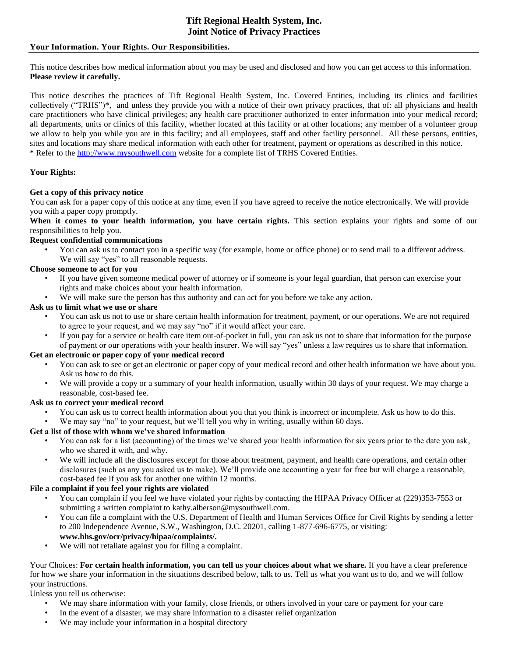# **Your Information. Your Rights. Our Responsibilities.**

This notice describes how medical information about you may be used and disclosed and how you can get access to this information. **Please review it carefully.**

This notice describes the practices of Tift Regional Health System, Inc. Covered Entities, including its clinics and facilities collectively ("TRHS")\*, and unless they provide you with a notice of their own privacy practices, that of: all physicians and health care practitioners who have clinical privileges; any health care practitioner authorized to enter information into your medical record; all departments, units or clinics of this facility, whether located at this facility or at other locations; any member of a volunteer group we allow to help you while you are in this facility; and all employees, staff and other facility personnel. All these persons, entities, sites and locations may share medical information with each other for treatment, payment or operations as described in this notice. \* Refer to the [http://www.mysouthwell.com](http://www.mysouthwell.com/) website for a complete list of TRHS Covered Entities.

# **Your Rights:**

# **Get a copy of this privacy notice**

You can ask for a paper copy of this notice at any time, even if you have agreed to receive the notice electronically. We will provide you with a paper copy promptly.

When it comes to your health information, you have certain rights. This section explains your rights and some of our responsibilities to help you.

# **Request confidential communications**

• You can ask us to contact you in a specific way (for example, home or office phone) or to send mail to a different address. We will say "yes" to all reasonable requests.

# **Choose someone to act for you**

- If you have given someone medical power of attorney or if someone is your legal guardian, that person can exercise your rights and make choices about your health information.
- We will make sure the person has this authority and can act for you before we take any action.

## **Ask us to limit what we use or share**

- You can ask us not to use or share certain health information for treatment, payment, or our operations. We are not required to agree to your request, and we may say "no" if it would affect your care.
- If you pay for a service or health care item out-of-pocket in full, you can ask us not to share that information for the purpose of payment or our operations with your health insurer. We will say "yes" unless a law requires us to share that information.

## **Get an electronic or paper copy of your medical record**

- You can ask to see or get an electronic or paper copy of your medical record and other health information we have about you. Ask us how to do this.
- We will provide a copy or a summary of your health information, usually within 30 days of your request. We may charge a reasonable, cost-based fee.

## **Ask us to correct your medical record**

- You can ask us to correct health information about you that you think is incorrect or incomplete. Ask us how to do this.
- We may say "no" to your request, but we'll tell you why in writing, usually within 60 days.

## **Get a list of those with whom we've shared information**

- You can ask for a list (accounting) of the times we've shared your health information for six years prior to the date you ask, who we shared it with, and why.
- We will include all the disclosures except for those about treatment, payment, and health care operations, and certain other disclosures (such as any you asked us to make). We'll provide one accounting a year for free but will charge a reasonable, cost-based fee if you ask for another one within 12 months.

## **File a complaint if you feel your rights are violated**

- You can complain if you feel we have violated your rights by contacting the HIPAA Privacy Officer at (229)353-7553 or submitting a written complaint to kathy.alberson@mysouthwell.com.
- You can file a complaint with the U.S. Department of Health and Human Services Office for Civil Rights by sending a letter to 200 Independence Avenue, S.W., Washington, D.C. 20201, calling 1-877-696-6775, or visiting: **www.hhs.gov/ocr/privacy/hipaa/complaints/.**
- We will not retaliate against you for filing a complaint.

Your Choices: **For certain health information, you can tell us your choices about what we share.** If you have a clear preference for how we share your information in the situations described below, talk to us. Tell us what you want us to do, and we will follow your instructions.

Unless you tell us otherwise:

- We may share information with your family, close friends, or others involved in your care or payment for your care
- In the event of a disaster, we may share information to a disaster relief organization
- We may include your information in a hospital directory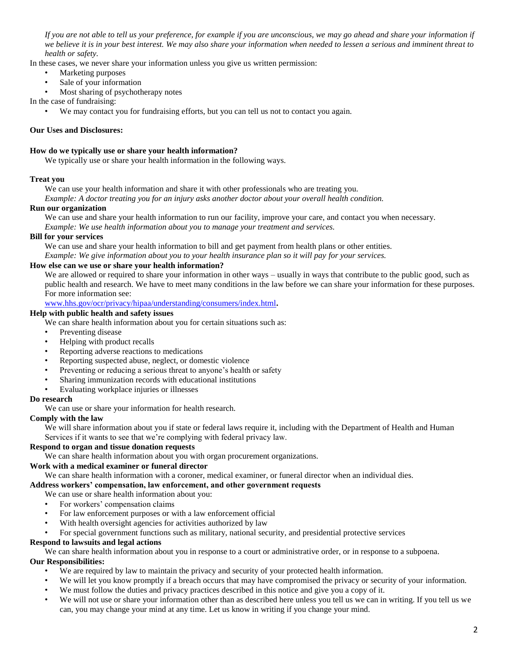*If you are not able to tell us your preference, for example if you are unconscious, we may go ahead and share your information if we believe it is in your best interest. We may also share your information when needed to lessen a serious and imminent threat to health or safety.*

In these cases, we never share your information unless you give us written permission:

- Marketing purposes
- Sale of your information
- Most sharing of psychotherapy notes

In the case of fundraising:

We may contact you for fundraising efforts, but you can tell us not to contact you again.

### **Our Uses and Disclosures:**

### **How do we typically use or share your health information?**

We typically use or share your health information in the following ways.

### **Treat you**

We can use your health information and share it with other professionals who are treating you.

*Example: A doctor treating you for an injury asks another doctor about your overall health condition.*

### **Run our organization**

We can use and share your health information to run our facility, improve your care, and contact you when necessary.

*Example: We use health information about you to manage your treatment and services.* 

# **Bill for your services**

We can use and share your health information to bill and get payment from health plans or other entities.

*Example: We give information about you to your health insurance plan so it will pay for your services.* 

# **How else can we use or share your health information?**

We are allowed or required to share your information in other ways – usually in ways that contribute to the public good, such as public health and research. We have to meet many conditions in the law before we can share your information for these purposes. For more information see:

[www.hhs.gov/ocr/privacy/hipaa/understanding/consumers/index.html](http://www.hhs.gov/ocr/privacy/hipaa/understanding/consumers/index.html)**.**

### **Help with public health and safety issues**

We can share health information about you for certain situations such as:

- Preventing disease
- Helping with product recalls
- Reporting adverse reactions to medications
- Reporting suspected abuse, neglect, or domestic violence
- Preventing or reducing a serious threat to anyone's health or safety
- Sharing immunization records with educational institutions
- Evaluating workplace injuries or illnesses

### **Do research**

We can use or share your information for health research.

### **Comply with the law**

We will share information about you if state or federal laws require it, including with the Department of Health and Human Services if it wants to see that we're complying with federal privacy law.

### **Respond to organ and tissue donation requests**

We can share health information about you with organ procurement organizations.

### **Work with a medical examiner or funeral director**

We can share health information with a coroner, medical examiner, or funeral director when an individual dies.

# **Address workers' compensation, law enforcement, and other government requests**

We can use or share health information about you:

- For workers' compensation claims
- For law enforcement purposes or with a law enforcement official
- With health oversight agencies for activities authorized by law
- For special government functions such as military, national security, and presidential protective services

### **Respond to lawsuits and legal actions**

We can share health information about you in response to a court or administrative order, or in response to a subpoena.

## **Our Responsibilities:**

- We are required by law to maintain the privacy and security of your protected health information.
- We will let you know promptly if a breach occurs that may have compromised the privacy or security of your information.
- We must follow the duties and privacy practices described in this notice and give you a copy of it.
- We will not use or share your information other than as described here unless you tell us we can in writing. If you tell us we can, you may change your mind at any time. Let us know in writing if you change your mind.